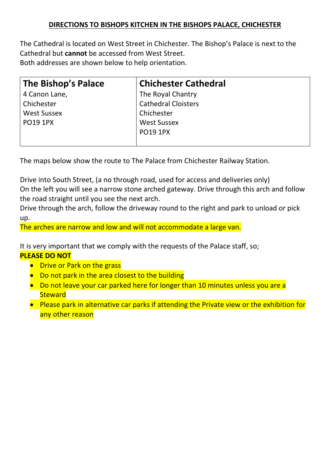## DIRECTIONS TO BISHOPS KITCHEN IN THE BISHOPS PALACE, CHICHESTER

The Cathedral is located on West Street in Chichester. The Bishop's Palace is next to the Cathedral but cannot be accessed from West Street. Both addresses are shown below to help orientation.

| The Bishop's Palace | <b>Chichester Cathedral</b> |
|---------------------|-----------------------------|
| 4 Canon Lane,       | The Royal Chantry           |
| Chichester          | <b>Cathedral Cloisters</b>  |
| <b>West Sussex</b>  | Chichester                  |
| <b>PO19 1PX</b>     | <b>West Sussex</b>          |
|                     | <b>PO19 1PX</b>             |
|                     |                             |

The maps below show the route to The Palace from Chichester Railway Station.

Drive into South Street, (a no through road, used for access and deliveries only) On the left you will see a narrow stone arched gateway. Drive through this arch and follow the road straight until you see the next arch.

Drive through the arch, follow the driveway round to the right and park to unload or pick up.

The arches are narrow and low and will not accommodate a large van.

It is very important that we comply with the requests of the Palace staff, so; PLEASE DO NOT

- Drive or Park on the grass
- Do not park in the area closest to the building
- Do not leave your car parked here for longer than 10 minutes unless you are a **Steward**
- Please park in alternative car parks if attending the Private view or the exhibition for any other reason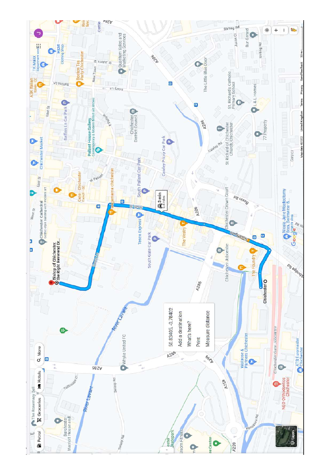